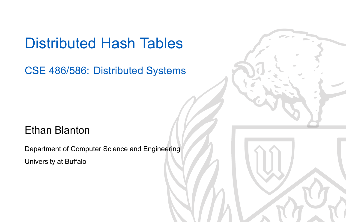# Distributed Hash Tables

CSE 486/586: Distributed Systems

#### Ethan Blanton

Department of Computer Science and Engineering University at Buffalo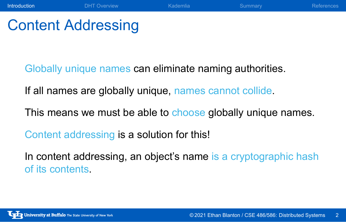# Content Addressing

Globally unique names can eliminate naming authorities.

If all names are globally unique, names cannot collide.

This means we must be able to choose globally unique names.

**Introduction DHT Overview Kademlia Commary Summary References** 

Content addressing is a solution for this!

In content addressing, an object's name is a cryptographic hash of its contents.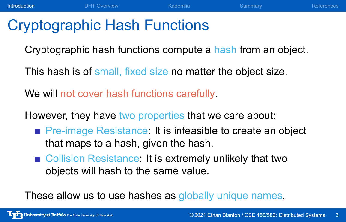# Cryptographic Hash Functions

Cryptographic hash functions compute a hash from an object.

**Introduction DHT Overview Kademlia Commart Commart References** 

This hash is of small, fixed size no matter the object size.

We will not cover hash functions carefully.

However, they have two properties that we care about:

- **Pre-image Resistance: It is infeasible to create an object** that maps to a hash, given the hash.
- Collision Resistance: It is extremely unlikely that two objects will hash to the same value.

These allow us to use hashes as globally unique names.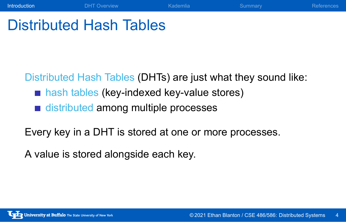# Distributed Hash Tables

Distributed Hash Tables (DHTs) are just what they sound like:

**Introduction DHT Overview Kademlia Commart Commart References** 

- hash tables (key-indexed key-value stores)
- distributed among multiple processes

Every key in a DHT is stored at one or more processes.

A value is stored alongside each key.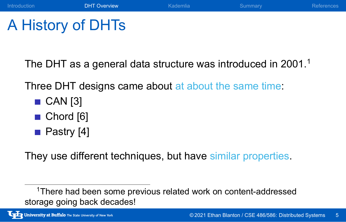# A History of DHTs

The DHT as a general data structure was introduced in 2001.<sup>1</sup>

Introduction **DHT Overview Kademlia Summary References** 

Three DHT designs came about at about the same time:

- $\Box$  CAN [3]
- Chord [6]
- **Pastry [4]**

They use different techniques, but have similar properties.

University at Buffalo The State University of New York

<sup>&</sup>lt;sup>1</sup>There had been some previous related work on content-addressed storage going back decades!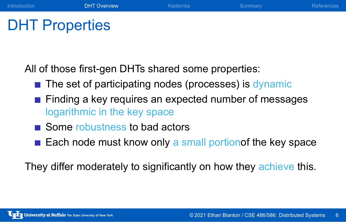# DHT Properties

All of those first-gen DHTs shared some properties:

- The set of participating nodes (processes) is dynamic
- **Finding a key requires an expected number of messages** logarithmic in the key space

Introduction **DHT Overview** Kademlia Summary References

- Some robustness to bad actors
- $\blacksquare$  Each node must know only a small portion of the key space

They differ moderately to significantly on how they achieve this.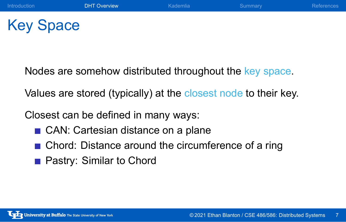Introduction **DHT Overview** Kademlia Summary References

# Key Space

Nodes are somehow distributed throughout the key space.

Values are stored (typically) at the closest node to their key.

Closest can be defined in many ways:

- CAN: Cartesian distance on a plane
- Chord: Distance around the circumference of a ring
- **Pastry: Similar to Chord**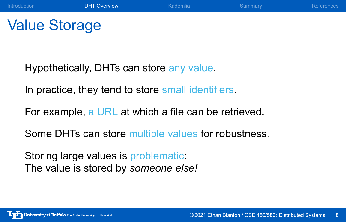# Value Storage

Hypothetically, DHTs can store any value.

In practice, they tend to store small identifiers.

For example, a URL at which a file can be retrieved.

Introduction **DHT Overview CONTAGE CONTAGE CONTAGE CONTAGE CONTAGE CONTAGE CONTAGE CONTAGE CONTAGE CONTAGE CONTAGE CONTAGE CONTAGE CONTAGE CONTAGE CONTAGE CONTAGE CONTAGE CONTAGE CONTAGE CONTAGE CONTAGE CONTAGE CONTAGE C** 

Some DHTs can store multiple values for robustness.

Storing large values is problematic: The value is stored by *someone else!*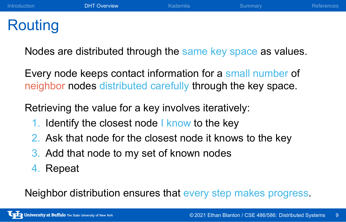# **Routing**

Nodes are distributed through the same key space as values.

Introduction **DHT Overview Kademlia Commary References** References

Every node keeps contact information for a small number of neighbor nodes distributed carefully through the key space.

Retrieving the value for a key involves iteratively:

- 1. Identify the closest node I know to the key
- 2. Ask that node for the closest node it knows to the key
- 3. Add that node to my set of known nodes
- 4. Repeat

Neighbor distribution ensures that every step makes progress.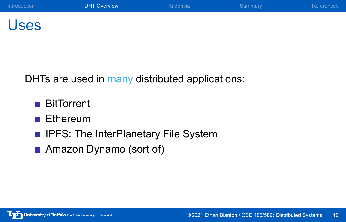# Introduction **DHT Overview Kademlia Commany** Summary References

# Uses

DHTs are used in many distributed applications:

- **BitTorrent**
- **Ethereum**
- **IFFS: The InterPlanetary File System**
- Amazon Dynamo (sort of)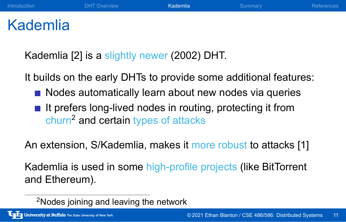## Kademlia

Kademlia [2] is a slightly newer (2002) DHT.

It builds on the early DHTs to provide some additional features:

Introduction **DHT Overview Kademlia Community** Summary References

- Nodes automatically learn about new nodes via queries
- $\blacksquare$  It prefers long-lived nodes in routing, protecting it from churn<sup>2</sup> and certain types of attacks

An extension, S/Kademlia, makes it more robust to attacks [1]

Kademlia is used in some high-profile projects (like BitTorrent and Ethereum).

<sup>2</sup>Nodes joining and leaving the network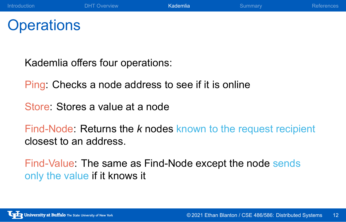# **Operations**

Kademlia offers four operations:

Ping: Checks a node address to see if it is online

Store: Stores a value at a node

Find-Node: Returns the *k* nodes known to the request recipient closest to an address.

Introduction **DHT** Overview **Kademlia Commary References** References

Find-Value: The same as Find-Node except the node sends only the value if it knows it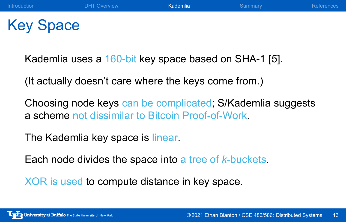# Key Space

Kademlia uses a 160-bit key space based on SHA-1 [5].

(It actually doesn't care where the keys come from.)

Choosing node keys can be complicated; S/Kademlia suggests a scheme not dissimilar to Bitcoin Proof-of-Work.

Introduction **DHT** Overview **Kademlia Commary References** References

The Kademlia key space is linear.

Each node divides the space into a tree of *k*-buckets.

XOR is used to compute distance in key space.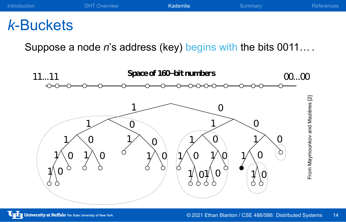

# *k*-Buckets

Suppose a node *n*'s address (key) begins with the bits 0011....

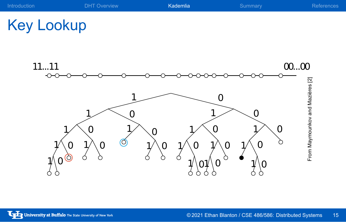

| <b>DHT Overview</b><br><b>Introduction</b><br>Kademlia<br><b>Summary</b><br><b>References</b> |  |
|-----------------------------------------------------------------------------------------------|--|
|-----------------------------------------------------------------------------------------------|--|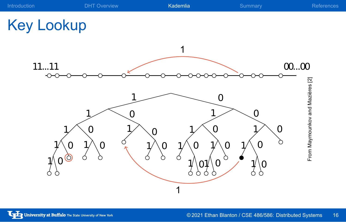

Introduction **Example 2018** DHT Overview **Kademlia Commary References**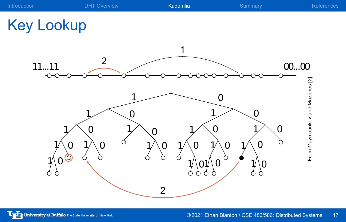

Introduction **Example 2018** DHT Overview **Kademlia Commary References**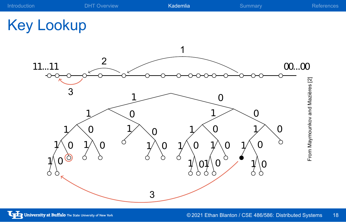

Introduction **Example 2018** DHT Overview **Kademlia Commary References**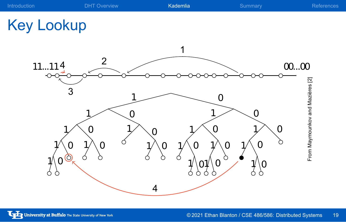

| <b>Introduction</b> | <b>DHT Overview</b> | Kademlia | Summary | <b>References</b> |
|---------------------|---------------------|----------|---------|-------------------|
|                     |                     |          |         |                   |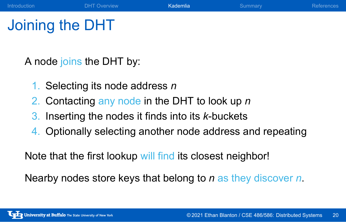# Joining the DHT

A node joins the DHT by:

- 1. Selecting its node address *n*
- 2. Contacting any node in the DHT to look up *n*
- 3. Inserting the nodes it finds into its *k*-buckets
- 4. Optionally selecting another node address and repeating

Introduction **CHT** Overview **Kademlia CHT** Overview **Kademlia** Summary References

Note that the first lookup will find its closest neighbor!

Nearby nodes store keys that belong to *n* as they discover *n*.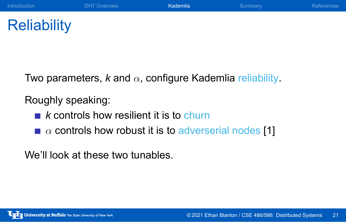### Introduction **DHT Overview Kademlia Commary References** References

# **Reliability**

Two parameters, *k* and *α*, configure Kademlia reliability.

Roughly speaking:

- **K** controls how resilient it is to churn
- $\blacksquare$  *α* controls how robust it is to adverserial nodes [1]

We'll look at these two tunables.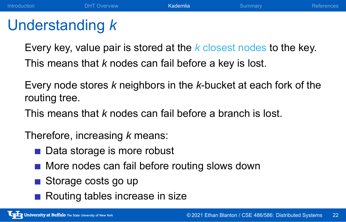# Understanding *k*

Every key, value pair is stored at the *k* closest nodes to the key. This means that *k* nodes can fail before a key is lost.

Introduction **DHT** Overview **Kademlia Commart Commart References** References

Every node stores *k* neighbors in the *k*-bucket at each fork of the routing tree.

This means that *k* nodes can fail before a branch is lost.

Therefore, increasing *k* means:

- Data storage is more robust
- More nodes can fail before routing slows down
- Storage costs go up
- Routing tables increase in size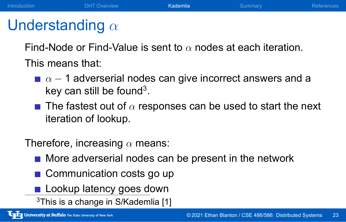# Understanding *α*

Find-Node or Find-Value is sent to *α* nodes at each iteration.

This means that:

*α −* 1 adverserial nodes can give incorrect answers and a key can still be found<sup>3</sup>.

Introduction **DHT** Overview **Kademlia CONSISTER Summary References** 

The fastest out of *α* responses can be used to start the next iteration of lookup.

Therefore, increasing *α* means:

- **More adverserial nodes can be present in the network**
- Communication costs go up
- **Lookup latency goes down**
- <sup>3</sup>This is a change in S/Kademlia [1]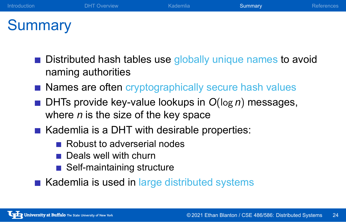# **Summary**

**Distributed hash tables use globally unique names to avoid** naming authorities

Introduction **DHT** Overview **Kademlia Commary References** 

- Names are often cryptographically secure hash values
- DHTs provide key-value lookups in *O*(log *n*) messages, where *n* is the size of the key space
- Kademlia is a DHT with desirable properties:
	- Robust to adverserial nodes
	- Deals well with churn
	- Self-maintaining structure
- Kademlia is used in large distributed systems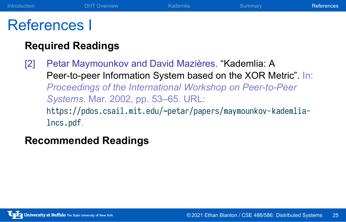### References I

### **Required Readings**

[2] Petar Maymounkov and David Mazières. "Kademlia: A Peer-to-peer Information System based on the XOR Metric". In: *Proceedings of the International Workshop on Peer-to-Peer Systems*. Mar. 2002, pp. 53–65. URL: https://pdos.csail.mit.edu/~petar/papers/maymounkov-kademlialncs.pdf.

Introduction **DHT Overview Kademlia** Communication **References** 

### **Recommended Readings**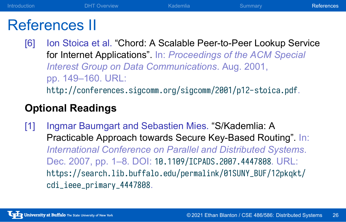### References II

[6] Ion Stoica et al. "Chord: A Scalable Peer-to-Peer Lookup Service for Internet Applications". In: *Proceedings of the ACM Special Interest Group on Data Communications*. Aug. 2001, pp. 149–160. URL: http://conferences.sigcomm.org/sigcomm/2001/p12-stoica.pdf.

Introduction **DHT Overview Summary References** Summary References

#### **Optional Readings**

[1] Ingmar Baumgart and Sebastien Mies. "S/Kademlia: A Practicable Approach towards Secure Key-Based Routing". In: *International Conference on Parallel and Distributed Systems*. Dec. 2007, pp. 1–8. DOI: 10.1109/ICPADS.2007.4447808. URL: https://search.lib.buffalo.edu/permalink/01SUNY\_BUF/12pkqkt/ cdi\_ieee\_primary\_4447808.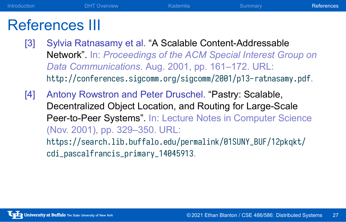### References III

[3] Sylvia Ratnasamy et al. "A Scalable Content-Addressable Network". In: *Proceedings of the ACM Special Interest Group on Data Communications*. Aug. 2001, pp. 161–172. URL: http://conferences.sigcomm.org/sigcomm/2001/p13-ratnasamy.pdf.

Introduction **DHT Overview Summary References** Summary References

[4] Antony Rowstron and Peter Druschel. "Pastry: Scalable, Decentralized Object Location, and Routing for Large-Scale Peer-to-Peer Systems". In: Lecture Notes in Computer Science (Nov. 2001), pp. 329–350. URL: https://search.lib.buffalo.edu/permalink/01SUNY\_BUF/12pkqkt/ cdi\_pascalfrancis\_primary\_14045913.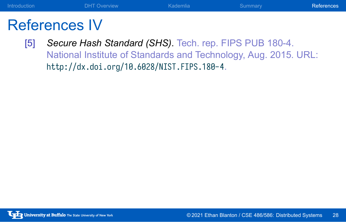# References IV

[5] *Secure Hash Standard (SHS)*. Tech. rep. FIPS PUB 180-4. National Institute of Standards and Technology, Aug. 2015. URL: http://dx.doi.org/10.6028/NIST.FIPS.180-4.

Introduction **CONT DESIGNATES CONTROVERSITY CONTROVERSITY** CONTROVERSITY References